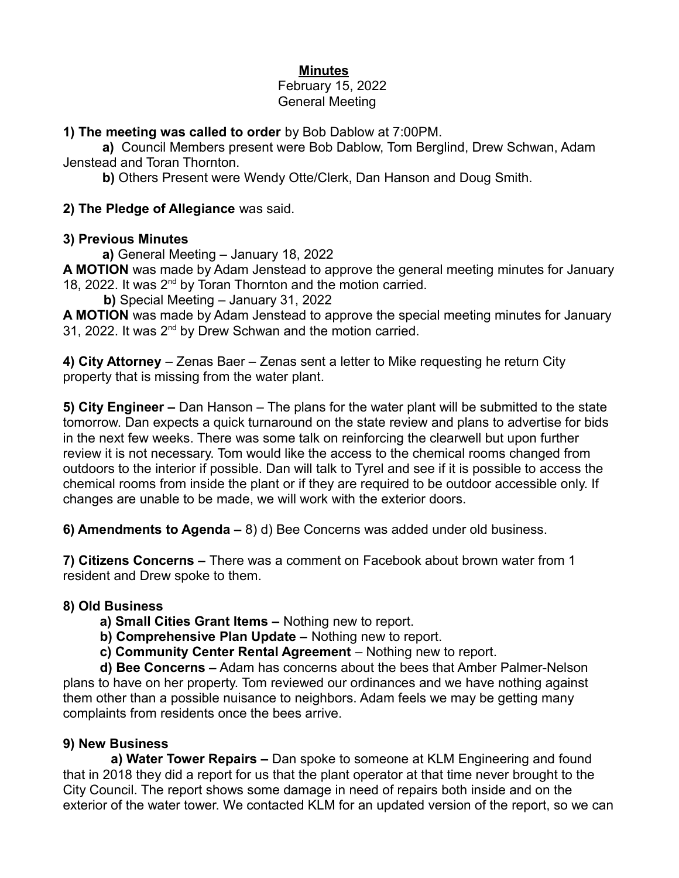# **Minutes**

#### February 15, 2022 General Meeting

### **1) The meeting was called to order** by Bob Dablow at 7:00PM.

**a)** Council Members present were Bob Dablow, Tom Berglind, Drew Schwan, Adam Jenstead and Toran Thornton.

**b)** Others Present were Wendy Otte/Clerk, Dan Hanson and Doug Smith.

#### **2) The Pledge of Allegiance** was said.

#### **3) Previous Minutes**

**a)** General Meeting – January 18, 2022

**A MOTION** was made by Adam Jenstead to approve the general meeting minutes for January 18, 2022. It was 2<sup>nd</sup> by Toran Thornton and the motion carried.

 **b)** Special Meeting – January 31, 2022

**A MOTION** was made by Adam Jenstead to approve the special meeting minutes for January 31. 2022. It was 2<sup>nd</sup> by Drew Schwan and the motion carried.

**4) City Attorney** – Zenas Baer – Zenas sent a letter to Mike requesting he return City property that is missing from the water plant.

**5) City Engineer –** Dan Hanson – The plans for the water plant will be submitted to the state tomorrow. Dan expects a quick turnaround on the state review and plans to advertise for bids in the next few weeks. There was some talk on reinforcing the clearwell but upon further review it is not necessary. Tom would like the access to the chemical rooms changed from outdoors to the interior if possible. Dan will talk to Tyrel and see if it is possible to access the chemical rooms from inside the plant or if they are required to be outdoor accessible only. If changes are unable to be made, we will work with the exterior doors.

**6) Amendments to Agenda –** 8) d) Bee Concerns was added under old business.

**7) Citizens Concerns –** There was a comment on Facebook about brown water from 1 resident and Drew spoke to them.

### **8) Old Business**

- **a) Small Cities Grant Items** Nothing new to report.
- **b) Comprehensive Plan Update –** Nothing new to report.
- **c) Community Center Rental Agreement** Nothing new to report.

 **d) Bee Concerns –** Adam has concerns about the bees that Amber Palmer-Nelson plans to have on her property. Tom reviewed our ordinances and we have nothing against them other than a possible nuisance to neighbors. Adam feels we may be getting many complaints from residents once the bees arrive.

### **9) New Business**

 **a) Water Tower Repairs –** Dan spoke to someone at KLM Engineering and found that in 2018 they did a report for us that the plant operator at that time never brought to the City Council. The report shows some damage in need of repairs both inside and on the exterior of the water tower. We contacted KLM for an updated version of the report, so we can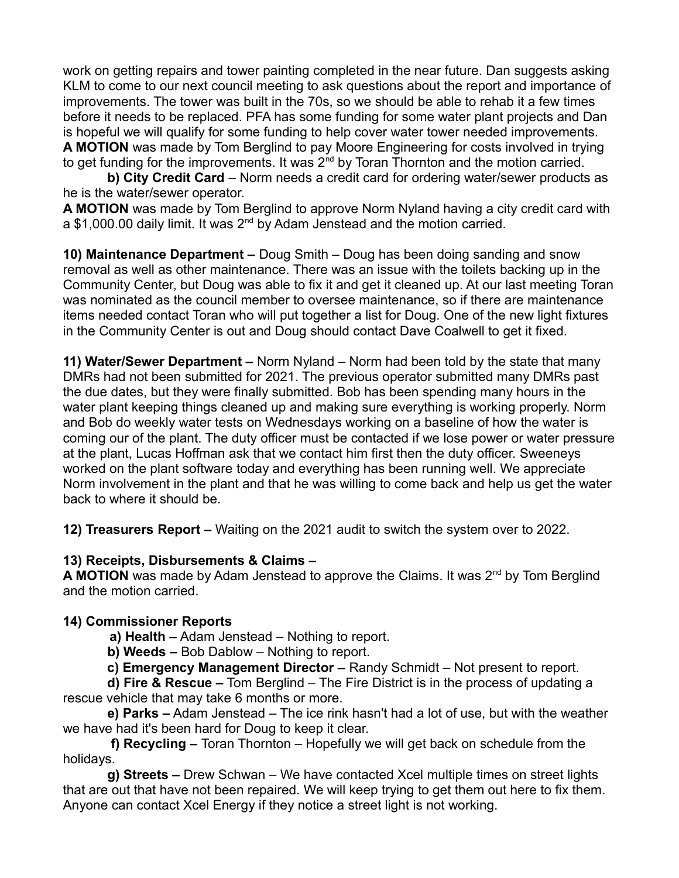work on getting repairs and tower painting completed in the near future. Dan suggests asking KLM to come to our next council meeting to ask questions about the report and importance of improvements. The tower was built in the 70s, so we should be able to rehab it a few times before it needs to be replaced. PFA has some funding for some water plant projects and Dan is hopeful we will qualify for some funding to help cover water tower needed improvements. **A MOTION** was made by Tom Berglind to pay Moore Engineering for costs involved in trying to get funding for the improvements. It was 2<sup>nd</sup> by Toran Thornton and the motion carried.

 **b) City Credit Card** – Norm needs a credit card for ordering water/sewer products as he is the water/sewer operator.

**A MOTION** was made by Tom Berglind to approve Norm Nyland having a city credit card with a \$1,000.00 daily limit. It was 2nd by Adam Jenstead and the motion carried.

**10) Maintenance Department –** Doug Smith – Doug has been doing sanding and snow removal as well as other maintenance. There was an issue with the toilets backing up in the Community Center, but Doug was able to fix it and get it cleaned up. At our last meeting Toran was nominated as the council member to oversee maintenance, so if there are maintenance items needed contact Toran who will put together a list for Doug. One of the new light fixtures in the Community Center is out and Doug should contact Dave Coalwell to get it fixed.

**11) Water/Sewer Department –** Norm Nyland – Norm had been told by the state that many DMRs had not been submitted for 2021. The previous operator submitted many DMRs past the due dates, but they were finally submitted. Bob has been spending many hours in the water plant keeping things cleaned up and making sure everything is working properly. Norm and Bob do weekly water tests on Wednesdays working on a baseline of how the water is coming our of the plant. The duty officer must be contacted if we lose power or water pressure at the plant, Lucas Hoffman ask that we contact him first then the duty officer. Sweeneys worked on the plant software today and everything has been running well. We appreciate Norm involvement in the plant and that he was willing to come back and help us get the water back to where it should be.

**12) Treasurers Report –** Waiting on the 2021 audit to switch the system over to 2022.

### **13) Receipts, Disbursements & Claims –**

**A MOTION** was made by Adam Jenstead to approve the Claims. It was 2<sup>nd</sup> by Tom Berglind and the motion carried.

# **14) Commissioner Reports**

**a) Health –** Adam Jenstead – Nothing to report.

**b) Weeds –** Bob Dablow – Nothing to report.

 **c) Emergency Management Director –** Randy Schmidt – Not present to report.

 **d) Fire & Rescue –** Tom Berglind – The Fire District is in the process of updating a rescue vehicle that may take 6 months or more.

 **e) Parks –** Adam Jenstead – The ice rink hasn't had a lot of use, but with the weather we have had it's been hard for Doug to keep it clear.

 **f) Recycling –** Toran Thornton – Hopefully we will get back on schedule from the holidays.

 **g) Streets –** Drew Schwan – We have contacted Xcel multiple times on street lights that are out that have not been repaired. We will keep trying to get them out here to fix them. Anyone can contact Xcel Energy if they notice a street light is not working.